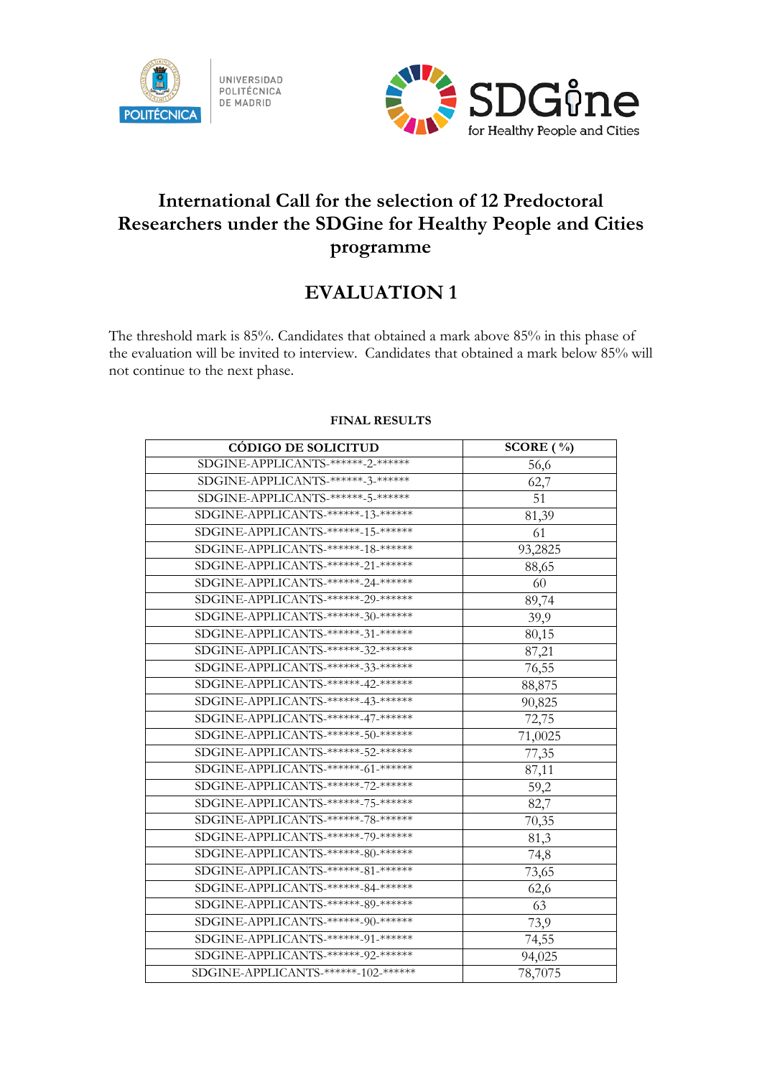



## **International Call for the selection of 12 Predoctoral Researchers under the SDGine for Healthy People and Cities programme**

## **EVALUATION 1**

The threshold mark is 85%. Candidates that obtained a mark above 85% in this phase of the evaluation will be invited to interview. Candidates that obtained a mark below 85% will not continue to the next phase.

| <b>CÓDIGO DE SOLICITUD</b>           | SCORE $(\% )$ |
|--------------------------------------|---------------|
| SDGINE-APPLICANTS-******-2-******    | 56,6          |
| SDGINE-APPLICANTS-******-3-******    | 62,7          |
| SDGINE-APPLICANTS-******-5-*******   | 51            |
| SDGINE-APPLICANTS-******-13-*******  | 81,39         |
| SDGINE-APPLICANTS-******-15-*******  | 61            |
| SDGINE-APPLICANTS-******-18-******   | 93,2825       |
| SDGINE-APPLICANTS-******-21-******   | 88,65         |
| SDGINE-APPLICANTS-******-24-******   | 60            |
| SDGINE-APPLICANTS-******-29-******   | 89,74         |
| SDGINE-APPLICANTS-******-30-*******  | 39,9          |
| SDGINE-APPLICANTS-******-31-*******  | 80,15         |
| SDGINE-APPLICANTS-******-32-*******  | 87,21         |
| SDGINE-APPLICANTS-******-33-*******  | 76,55         |
| SDGINE-APPLICANTS-******-42-******   | 88,875        |
| SDGINE-APPLICANTS-******-43-******   | 90,825        |
| SDGINE-APPLICANTS-******-47-*******  | 72,75         |
| SDGINE-APPLICANTS-******-50-*******  | 71,0025       |
| SDGINE-APPLICANTS-******-52-*******  | 77,35         |
| SDGINE-APPLICANTS-******-61-*******  | 87,11         |
| SDGINE-APPLICANTS-******-72-*******  | 59,2          |
| SDGINE-APPLICANTS-******-75-*******  | 82,7          |
| SDGINE-APPLICANTS-******-78-*******  | 70,35         |
| SDGINE-APPLICANTS-******-79-*******  | 81,3          |
| SDGINE-APPLICANTS-******-80-*******  | 74,8          |
| SDGINE-APPLICANTS-******-81-*******  | 73,65         |
| SDGINE-APPLICANTS-******-84-******   | 62,6          |
| SDGINE-APPLICANTS-******-89-******   | 63            |
| SDGINE-APPLICANTS-******-90-*******  | 73,9          |
| SDGINE-APPLICANTS-******-91-******   | 74,55         |
| SDGINE-APPLICANTS-******-92-******   | 94,025        |
| SDGINE-APPLICANTS-******-102-******* | 78,7075       |

## **FINAL RESULTS**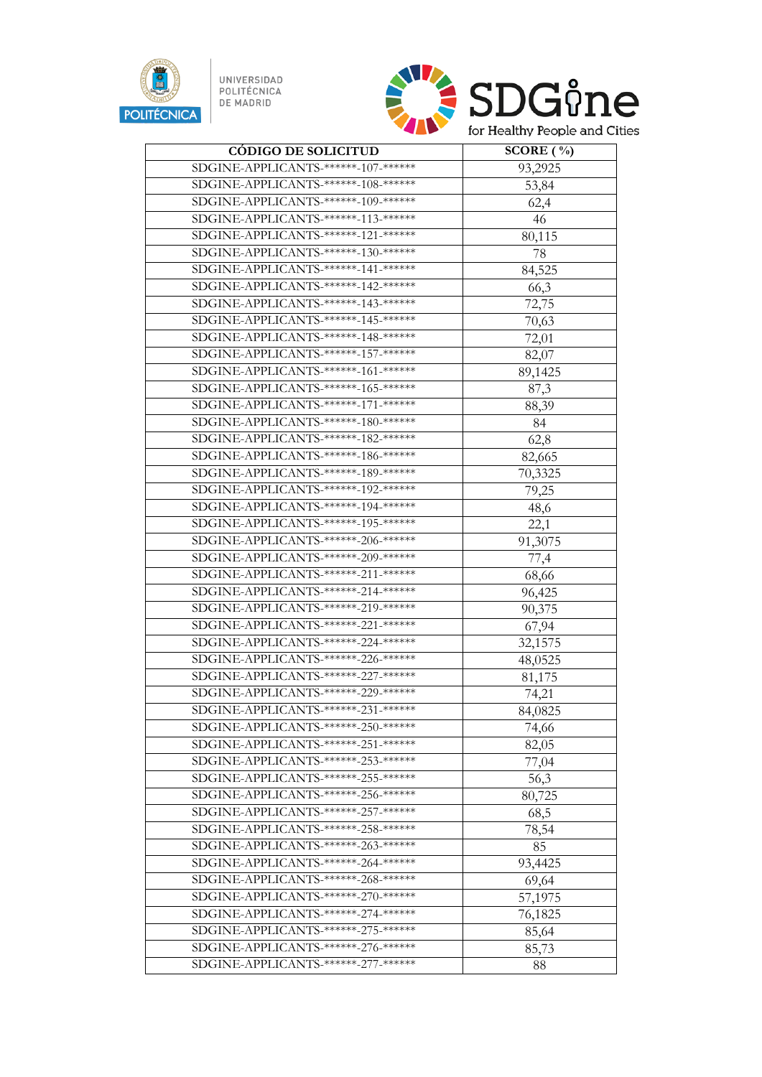

UNIVERSIDAD<br>POLITÉCNICA<br>DE MADRID



| <b>CÓDIGO DE SOLICITUD</b>                      | SCORE $(\% )$ |
|-------------------------------------------------|---------------|
| SDGINE-APPLICANTS-******-107-*******            | 93,2925       |
| SDGINE-APPLICANTS-******-108-*******            | 53,84         |
| SDGINE-APPLICANTS-******-109-*******            | 62,4          |
| SDGINE-APPLICANTS-******-113-*******            | 46            |
| SDGINE-APPLICANTS-******-121-******             | 80,115        |
| SDGINE-APPLICANTS-******-130-******             | 78            |
| SDGINE-APPLICANTS-******-141-******             | 84,525        |
| SDGINE-APPLICANTS-******-142-*******            | 66,3          |
| SDGINE-APPLICANTS-******-143-*******            | 72,75         |
| SDGINE-APPLICANTS-******-145-*******            | 70,63         |
| SDGINE-APPLICANTS-******-148-******             | 72,01         |
| SDGINE-APPLICANTS-***** <del>*157-*****</del> * | 82,07         |
| SDGINE-APPLICANTS-******-161-******             | 89,1425       |
| SDGINE-APPLICANTS-******-165-*******            | 87,3          |
| SDGINE-APPLICANTS-******-171-*******            | 88,39         |
| SDGINE-APPLICANTS-******-180-*******            | 84            |
| SDGINE-APPLICANTS-******-182-*******            | 62,8          |
| SDGINE-APPLICANTS-******-186-*******            | 82,665        |
| SDGINE-APPLICANTS-******-189-*******            | 70,3325       |
| SDGINE-APPLICANTS-******-192-*******            | 79,25         |
| SDGINE-APPLICANTS-******-194-******             | 48,6          |
| SDGINE-APPLICANTS-******-195-*******            | 22,1          |
| SDGINE-APPLICANTS-******-206-*******            | 91,3075       |
| SDGINE-APPLICANTS-******-209-*******            | 77,4          |
| SDGINE-APPLICANTS-******-211-******             | 68,66         |
| SDGINE-APPLICANTS-******-214-******             | 96,425        |
| SDGINE-APPLICANTS-******-219-*******            | 90,375        |
| SDGINE-APPLICANTS-******-221-******             | 67,94         |
| SDGINE-APPLICANTS-******-224-******             | 32,1575       |
| SDGINE-APPLICANTS-******-226-*******            | 48,0525       |
| SDGINE-APPLICANTS-******-227-*******            | 81,175        |
| SDGINE-APPLICANTS-******-229-******             | 74,21         |
| SDGINE-APPLICANTS-******-231-*******            | 84,0825       |
| SDGINE-APPLICANTS-******-250-******             | 74,66         |
| SDGINE-APPLICANTS-******-251-******             | 82,05         |
| SDGINE-APPLICANTS-******-253-*******            | 77,04         |
| SDGINE-APPLICANTS-******-255-******             | 56,3          |
| SDGINE-APPLICANTS-******-256-******             | 80,725        |
| SDGINE-APPLICANTS-******-257-*******            | 68,5          |
| SDGINE-APPLICANTS-******-258-*******            | 78,54         |
| SDGINE-APPLICANTS-******-263-******             | 85            |
| SDGINE-APPLICANTS-******-264-******             | 93,4425       |
| SDGINE-APPLICANTS-******-268-******             | 69,64         |
| SDGINE-APPLICANTS-******-270-*******            | 57,1975       |
| SDGINE-APPLICANTS-******-274-******             | 76,1825       |
| SDGINE-APPLICANTS-******-275-*******            | 85,64         |
| SDGINE-APPLICANTS-******-276-*******            | 85,73         |
| SDGINE-APPLICANTS-******-277-******             | 88            |